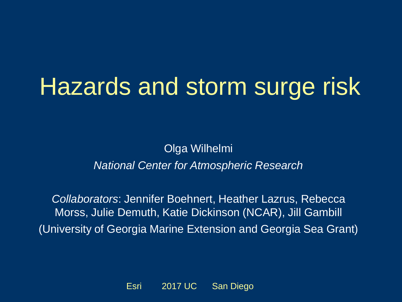# Hazards and storm surge risk

Olga Wilhelmi *National Center for Atmospheric Research*

*Collaborators*: Jennifer Boehnert, Heather Lazrus, Rebecca Morss, Julie Demuth, Katie Dickinson (NCAR), Jill Gambill (University of Georgia Marine Extension and Georgia Sea Grant)

Esri 2017 UC San Diego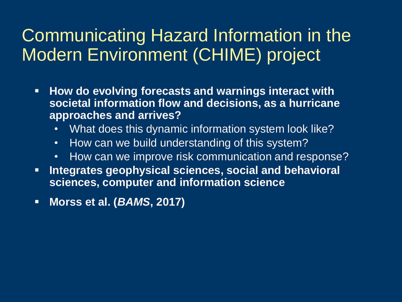### Communicating Hazard Information in the Modern Environment (CHIME) project

- **How do evolving forecasts and warnings interact with societal information flow and decisions, as a hurricane approaches and arrives?** 
	- What does this dynamic information system look like?
	- How can we build understanding of this system?
	- How can we improve risk communication and response?
- **EXTE: Integrates geophysical sciences, social and behavioral sciences, computer and information science**
- **Morss et al. (***BAMS***, 2017)**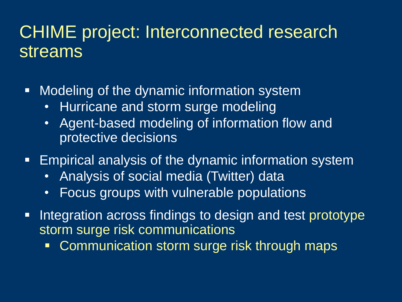### CHIME project: Interconnected research streams

- Modeling of the dynamic information system
	- Hurricane and storm surge modeling
	- Agent-based modeling of information flow and protective decisions
- **Empirical analysis of the dynamic information system** 
	- Analysis of social media (Twitter) data
	- Focus groups with vulnerable populations
- **EXTERGE Integration across findings to design and test prototype** storm surge risk communications
	- **EXECOMMUNICATION STORY SURGE STARK THROUGH MAPS**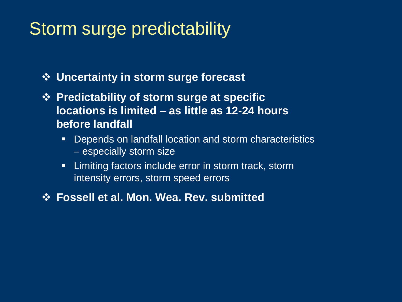## Storm surge predictability

❖ **Uncertainty in storm surge forecast**

- ❖ **Predictability of storm surge at specific locations is limited – as little as 12-24 hours before landfall**
	- Depends on landfall location and storm characteristics – especially storm size
	- **E** Limiting factors include error in storm track, storm intensity errors, storm speed errors

❖ **Fossell et al. Mon. Wea. Rev. submitted**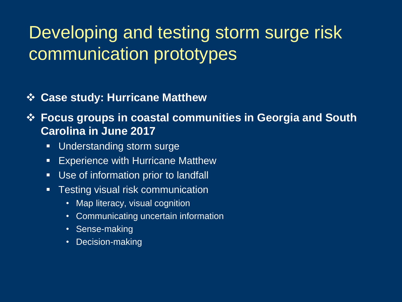## Developing and testing storm surge risk communication prototypes

- ❖ **Case study: Hurricane Matthew**
- ❖ **Focus groups in coastal communities in Georgia and South Carolina in June 2017**
	- Understanding storm surge
	- **Experience with Hurricane Matthew**
	- Use of information prior to landfall
	- Testing visual risk communication
		- Map literacy, visual cognition
		- Communicating uncertain information
		- Sense-making
		- Decision-making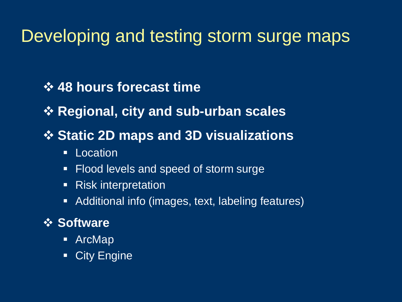### Developing and testing storm surge maps

#### ❖ **48 hours forecast time**

❖ **Regional, city and sub-urban scales**

#### ❖ **Static 2D maps and 3D visualizations**

- Location
- Flood levels and speed of storm surge
- Risk interpretation
- Additional info (images, text, labeling features)

#### ❖ **Software**

- ArcMap
- **City Engine**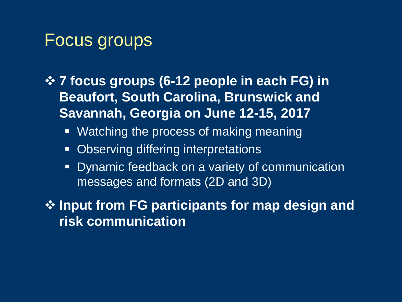### Focus groups

- ❖ **7 focus groups (6-12 people in each FG) in Beaufort, South Carolina, Brunswick and Savannah, Georgia on June 12-15, 2017**
	- **EXED Watching the process of making meaning**
	- Observing differing interpretations
	- **Dynamic feedback on a variety of communication** messages and formats (2D and 3D)

❖ **Input from FG participants for map design and risk communication**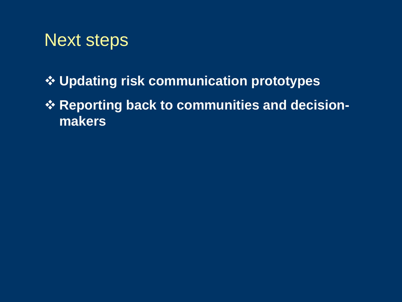### Next steps

- ❖ **Updating risk communication prototypes**
- ❖ **Reporting back to communities and decisionmakers**